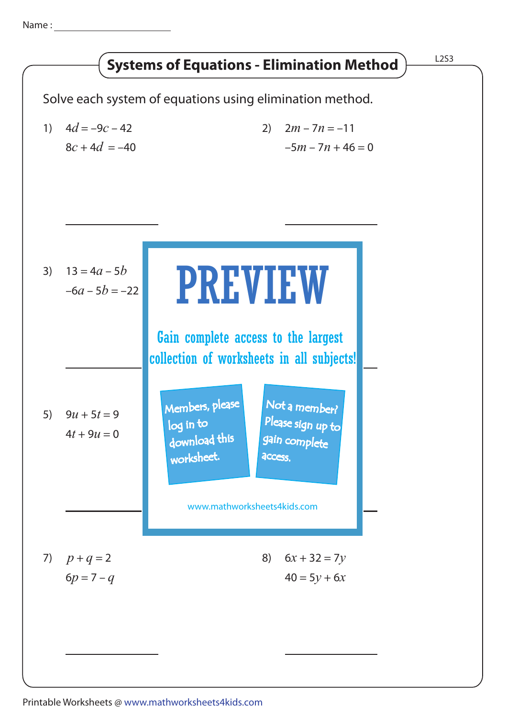